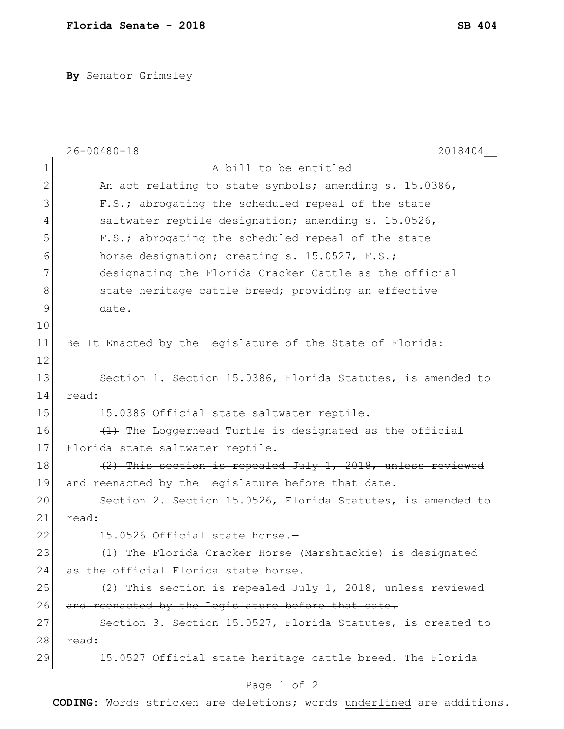**By** Senator Grimsley

|              | $26 - 00480 - 18$<br>2018404                                |
|--------------|-------------------------------------------------------------|
| $\mathbf 1$  | A bill to be entitled                                       |
| $\mathbf{2}$ | An act relating to state symbols; amending s. 15.0386,      |
| 3            | F.S.; abrogating the scheduled repeal of the state          |
| 4            | saltwater reptile designation; amending s. 15.0526,         |
| 5            | F.S.; abrogating the scheduled repeal of the state          |
| 6            | horse designation; creating s. 15.0527, F.S.;               |
| 7            | designating the Florida Cracker Cattle as the official      |
| 8            | state heritage cattle breed; providing an effective         |
| $\mathsf{S}$ | date.                                                       |
| 10           |                                                             |
| 11           | Be It Enacted by the Legislature of the State of Florida:   |
| 12           |                                                             |
| 13           | Section 1. Section 15.0386, Florida Statutes, is amended to |
| 14           | read:                                                       |
| 15           | 15.0386 Official state saltwater reptile.-                  |
| 16           | (1) The Loggerhead Turtle is designated as the official     |
| 17           | Florida state saltwater reptile.                            |
| 18           | (2) This section is repealed July 1, 2018, unless reviewed  |
| 19           | and reenacted by the Legislature before that date.          |
| 20           | Section 2. Section 15.0526, Florida Statutes, is amended to |
| 21           | read:                                                       |
| 22           | 15.0526 Official state horse.-                              |
| 23           | (1) The Florida Cracker Horse (Marshtackie) is designated   |
| 24           | as the official Florida state horse.                        |
| 25           | (2) This section is repealed July 1, 2018, unless reviewed  |
| 26           | and reenacted by the Legislature before that date.          |
| 27           | Section 3. Section 15.0527, Florida Statutes, is created to |
| 28           | read:                                                       |
| 29           | 15.0527 Official state heritage cattle breed. The Florida   |
|              | Page 1 of 2                                                 |

**CODING**: Words stricken are deletions; words underlined are additions.